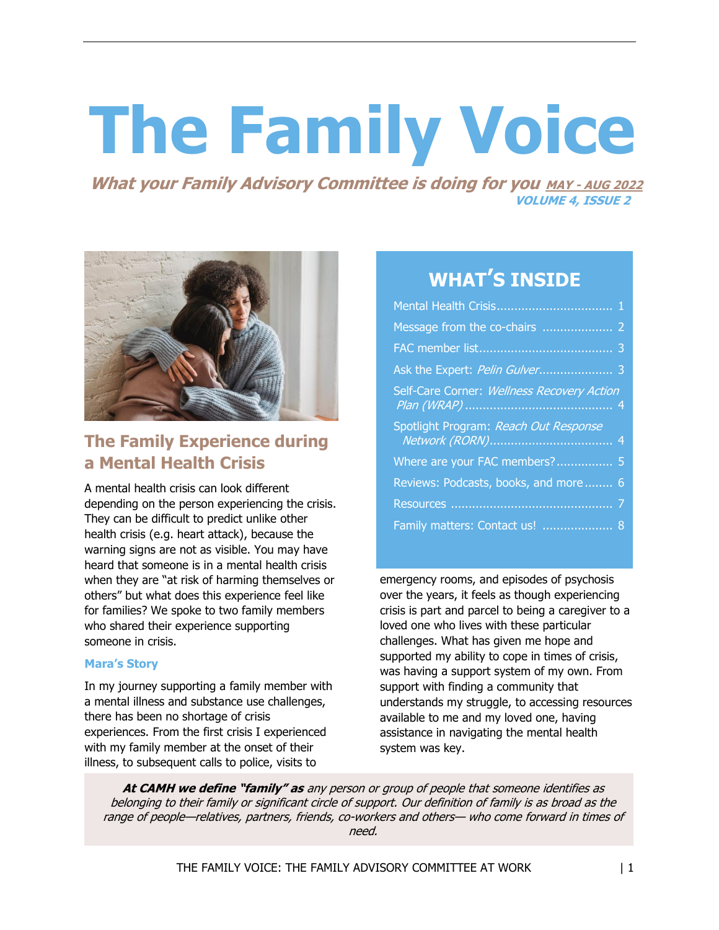# **The Family Voice**

**What your Family Advisory Committee is doing for you MAY - AUG 2022 VOLUME 4, ISSUE 2**



# **The Family Experience during a Mental Health Crisis**

A mental health crisis can look different depending on the person experiencing the crisis. They can be difficult to predict unlike other health crisis (e.g. heart attack), because the warning signs are not as visible. You may have heard that someone is in a mental health crisis when they are "at risk of harming themselves or others" but what does this experience feel like for families? We spoke to two family members who shared their experience supporting someone in crisis.

## **Mara's Story**

In my journey supporting a family member with a mental illness and substance use challenges, there has been no shortage of crisis experiences. From the first crisis I experienced with my family member at the onset of their illness, to subsequent calls to police, visits to

# **WHAT'S INSIDE**

| Self-Care Corner: Wellness Recovery Action |
|--------------------------------------------|
| Spotlight Program: Reach Out Response      |
| Where are your FAC members? 5              |
| Reviews: Podcasts, books, and more 6       |
|                                            |
| Family matters: Contact us!  8             |

emergency rooms, and episodes of psychosis over the years, it feels as though experiencing crisis is part and parcel to being a caregiver to a loved one who lives with these particular challenges. What has given me hope and supported my ability to cope in times of crisis, was having a support system of my own. From support with finding a community that understands my struggle, to accessing resources available to me and my loved one, having assistance in navigating the mental health system was key.

**At CAMH we define "family" as** any person or group of people that someone identifies as belonging to their family or significant circle of support. Our definition of family is as broad as the range of people—relatives, partners, friends, co-workers and others— who come forward in times of need.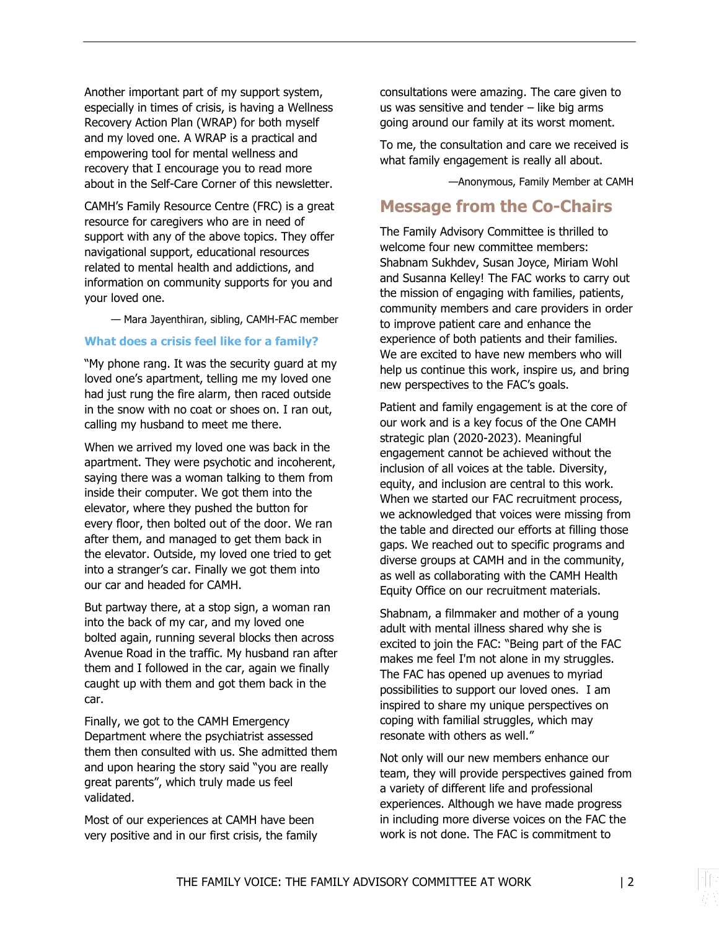Another important part of my support system, especially in times of crisis, is having a Wellness Recovery Action Plan (WRAP) for both myself and my loved one. A WRAP is a practical and empowering tool for mental wellness and recovery that I encourage you to read more about in the Self-Care Corner of this newsletter.

CAMH's Family Resource Centre (FRC) is a great resource for caregivers who are in need of support with any of the above topics. They offer navigational support, educational resources related to mental health and addictions, and information on community supports for you and your loved one.

— Mara Jayenthiran, sibling, CAMH-FAC member

#### **What does a crisis feel like for a family?**

"My phone rang. It was the security guard at my loved one's apartment, telling me my loved one had just rung the fire alarm, then raced outside in the snow with no coat or shoes on. I ran out, calling my husband to meet me there.

When we arrived my loved one was back in the apartment. They were psychotic and incoherent, saying there was a woman talking to them from inside their computer. We got them into the elevator, where they pushed the button for every floor, then bolted out of the door. We ran after them, and managed to get them back in the elevator. Outside, my loved one tried to get into a stranger's car. Finally we got them into our car and headed for CAMH.

But partway there, at a stop sign, a woman ran into the back of my car, and my loved one bolted again, running several blocks then across Avenue Road in the traffic. My husband ran after them and I followed in the car, again we finally caught up with them and got them back in the car.

Finally, we got to the CAMH Emergency Department where the psychiatrist assessed them then consulted with us. She admitted them and upon hearing the story said "you are really great parents", which truly made us feel validated.

Most of our experiences at CAMH have been very positive and in our first crisis, the family consultations were amazing. The care given to us was sensitive and tender  $-$  like big arms going around our family at its worst moment.

To me, the consultation and care we received is what family engagement is really all about.

—Anonymous, Family Member at CAMH

## **Message from the Co-Chairs**

The Family Advisory Committee is thrilled to welcome four new committee members: Shabnam Sukhdev, Susan Joyce, Miriam Wohl and Susanna Kelley! The FAC works to carry out the mission of engaging with families, patients, community members and care providers in order to improve patient care and enhance the experience of both patients and their families. We are excited to have new members who will help us continue this work, inspire us, and bring new perspectives to the FAC's goals.

Patient and family engagement is at the core of our work and is a key focus of the One CAMH strategic plan (2020-2023). Meaningful engagement cannot be achieved without the inclusion of all voices at the table. Diversity, equity, and inclusion are central to this work. When we started our FAC recruitment process, we acknowledged that voices were missing from the table and directed our efforts at filling those gaps. We reached out to specific programs and diverse groups at CAMH and in the community, as well as collaborating with the CAMH Health Equity Office on our recruitment materials.

Shabnam, a filmmaker and mother of a young adult with mental illness shared why she is excited to join the FAC: "Being part of the FAC makes me feel I'm not alone in my struggles. The FAC has opened up avenues to myriad possibilities to support our loved ones. I am inspired to share my unique perspectives on coping with familial struggles, which may resonate with others as well."

Not only will our new members enhance our team, they will provide perspectives gained from a variety of different life and professional experiences. Although we have made progress in including more diverse voices on the FAC the work is not done. The FAC is commitment to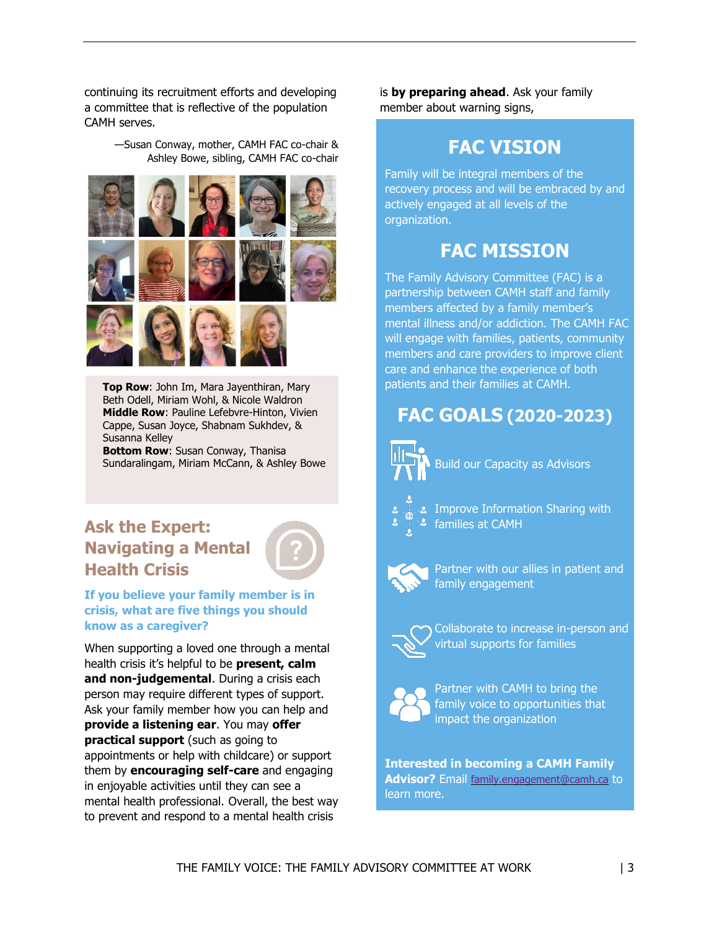continuing its recruitment efforts and developing a committee that is reflective of the population CAMH serves.

> —Susan Conway, mother, CAMH FAC co-chair & Ashley Bowe, sibling, CAMH FAC co-chair



**Top Row**: John Im, Mara Jayenthiran, Mary Beth Odell, Miriam Wohl, & Nicole Waldron **Middle Row**: Pauline Lefebvre-Hinton, Vivien Cappe, Susan Joyce, Shabnam Sukhdev, & Susanna Kelley

**Bottom Row**: Susan Conway, Thanisa Sundaralingam, Miriam McCann, & Ashley Bowe

# **Ask the Expert: Navigating a Mental Health Crisis**



## **If you believe your family member is in crisis, what are five things you should know as a caregiver?**

When supporting a loved one through a mental health crisis it's helpful to be **present, calm and non-judgemental**. During a crisis each person may require different types of support. Ask your family member how you can help and **provide a listening ear**. You may **offer practical support** (such as going to appointments or help with childcare) or support them by **encouraging self-care** and engaging in enjoyable activities until they can see a mental health professional. Overall, the best way to prevent and respond to a mental health crisis

is **by preparing ahead**. Ask your family member about warning signs,

# **FAC VISION**

Family will be integral members of the recovery process and will be embraced by and actively engaged at all levels of the organization.

# **FAC MISSION**

The Family Advisory Committee (FAC) is a partnership between CAMH staff and family members affected by a family member's mental illness and/or addiction. The CAMH FAC will engage with families, patients, community members and care providers to improve client care and enhance the experience of both patients and their families at CAMH.

# **FAC GOALS (2020-2023)**



Build our Capacity as Advisors



Improve Information Sharing with families at CAMH



Partner with our allies in patient and family engagement



Collaborate to increase in-person and virtual supports for families



Partner with CAMH to bring the family voice to opportunities that impact the organization

**Interested in becoming a CAMH Family Advisor?** Email [family.engagement@camh.ca](mailto:family.engagement@camh.ca) to learn more.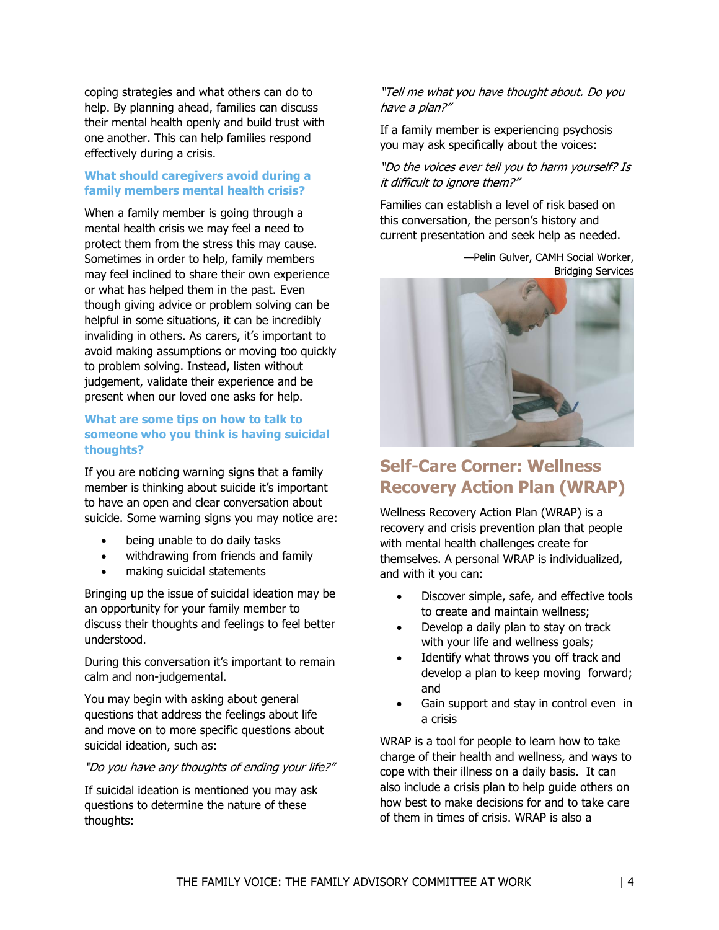coping strategies and what others can do to help. By planning ahead, families can discuss their mental health openly and build trust with one another. This can help families respond effectively during a crisis.

## **What should caregivers avoid during a family members mental health crisis?**

When a family member is going through a mental health crisis we may feel a need to protect them from the stress this may cause. Sometimes in order to help, family members may feel inclined to share their own experience or what has helped them in the past. Even though giving advice or problem solving can be helpful in some situations, it can be incredibly invaliding in others. As carers, it's important to avoid making assumptions or moving too quickly to problem solving. Instead, listen without judgement, validate their experience and be present when our loved one asks for help.

## **What are some tips on how to talk to someone who you think is having suicidal thoughts?**

If you are noticing warning signs that a family member is thinking about suicide it's important to have an open and clear conversation about suicide. Some warning signs you may notice are:

- being unable to do daily tasks
- withdrawing from friends and family
- making suicidal statements

Bringing up the issue of suicidal ideation may be an opportunity for your family member to discuss their thoughts and feelings to feel better understood.

During this conversation it's important to remain calm and non-judgemental.

You may begin with asking about general questions that address the feelings about life and move on to more specific questions about suicidal ideation, such as:

"Do you have any thoughts of ending your life?"

If suicidal ideation is mentioned you may ask questions to determine the nature of these thoughts:

## "Tell me what you have thought about. Do you have a plan?"

If a family member is experiencing psychosis you may ask specifically about the voices:

"Do the voices ever tell you to harm yourself? I<sup>s</sup> it difficult to ignore them?"

Families can establish a level of risk based on this conversation, the person's history and current presentation and seek help as needed.

> —Pelin Gulver, CAMH Social Worker, Bridging Services



# **Self-Care Corner: Wellness Recovery Action Plan (WRAP)**

Wellness Recovery Action Plan (WRAP) is a recovery and crisis prevention plan that people with mental health challenges create for themselves. A personal WRAP is individualized, and with it you can:

- Discover simple, safe, and effective tools to create and maintain wellness;
- Develop a daily plan to stay on track with your life and wellness goals;
- Identify what throws you off track and develop a plan to keep moving forward; and
- Gain support and stay in control even in a crisis

WRAP is a tool for people to learn how to take charge of their health and wellness, and ways to cope with their illness on a daily basis. It can also include a crisis plan to help guide others on how best to make decisions for and to take care of them in times of crisis. WRAP is also a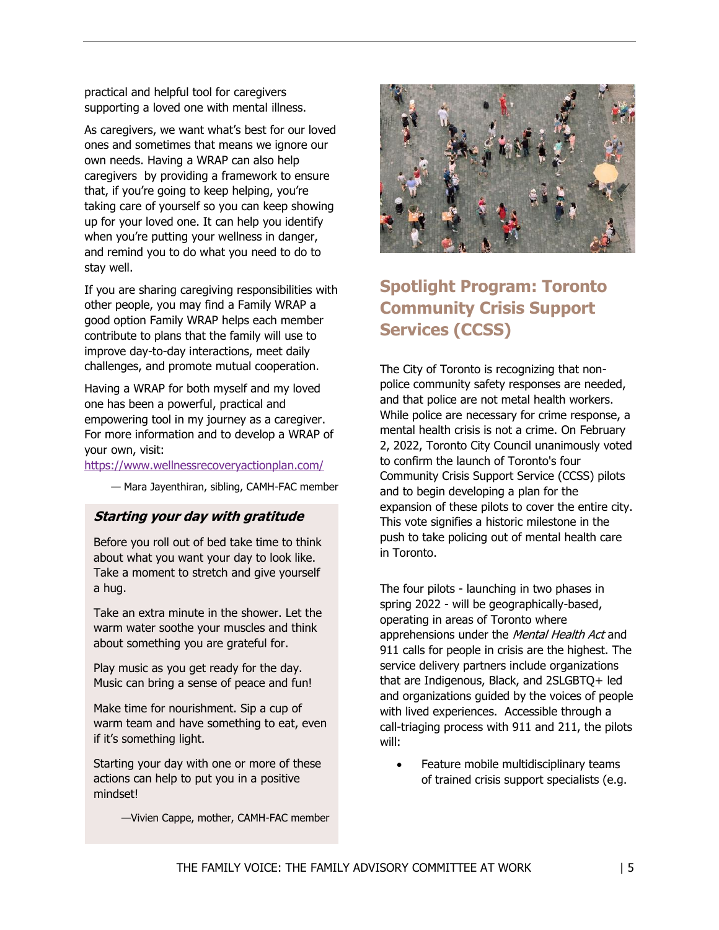practical and helpful tool for caregivers supporting a loved one with mental illness.

As caregivers, we want what's best for our loved ones and sometimes that means we ignore our own needs. Having a WRAP can also help caregivers by providing a framework to ensure that, if you're going to keep helping, you're taking care of yourself so you can keep showing up for your loved one. It can help you identify when you're putting your wellness in danger, and remind you to do what you need to do to stay well.

If you are sharing caregiving responsibilities with other people, you may find a Family WRAP a good option Family WRAP helps each member contribute to plans that the family will use to improve day-to-day interactions, meet daily challenges, and promote mutual cooperation.

Having a WRAP for both myself and my loved one has been a powerful, practical and empowering tool in my journey as a caregiver. For more information and to develop a WRAP of your own, visit:

#### <https://www.wellnessrecoveryactionplan.com/>

— Mara Jayenthiran, sibling, CAMH-FAC member

## **Starting your day with gratitude**

Before you roll out of bed take time to think about what you want your day to look like. Take a moment to stretch and give yourself a hug.

Take an extra minute in the shower. Let the warm water soothe your muscles and think about something you are grateful for.

Play music as you get ready for the day. Music can bring a sense of peace and fun!

Make time for nourishment. Sip a cup of warm team and have something to eat, even if it's something light.

Starting your day with one or more of these actions can help to put you in a positive mindset!

—Vivien Cappe, mother, CAMH-FAC member



# **Spotlight Program: Toronto Community Crisis Support Services (CCSS)**

The City of Toronto is recognizing that nonpolice community safety responses are needed, and that police are not metal health workers. While police are necessary for crime response, a mental health crisis is not a crime. On February 2, 2022, Toronto City Council unanimously voted to confirm the launch of Toronto's four Community Crisis Support Service (CCSS) pilots and to begin developing a plan for the expansion of these pilots to cover the entire city. This vote signifies a historic milestone in the push to take policing out of mental health care in Toronto.

The four pilots - launching in two phases in spring 2022 - will be geographically-based, operating in areas of Toronto where apprehensions under the Mental Health Act and 911 calls for people in crisis are the highest. The service delivery partners include organizations that are Indigenous, Black, and 2SLGBTQ+ led and organizations guided by the voices of people with lived experiences. Accessible through a call-triaging process with 911 and 211, the pilots will:

 Feature mobile multidisciplinary teams of trained crisis support specialists (e.g.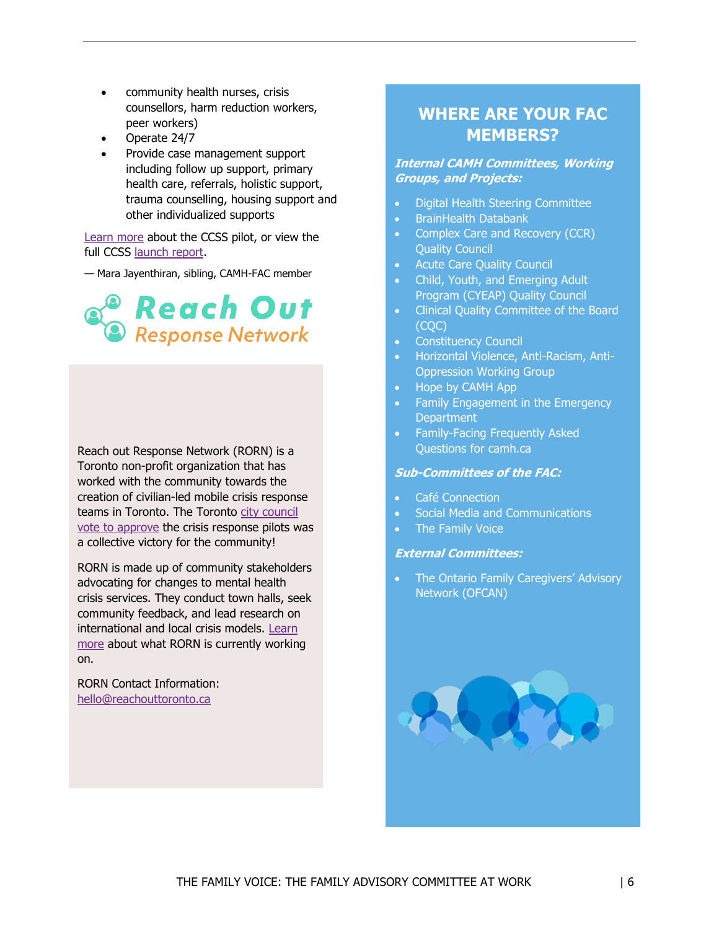- community health nurses, crisis counsellors, harm reduction workers, peer workers)
- Operate 24/7
- Provide case management support including follow up support, primary health care, referrals, holistic support, trauma counselling, housing support and other individualized supports

[Learn more](https://www.toronto.ca/news/city-of-toronto-announces-four-community-partners-as-part-of-the-launch-of-the-community-crisis-support-service-pilot/) about the CCSS pilot, or view the full CCSS [launch report.](https://www.toronto.ca/legdocs/mmis/2022/ex/bgrd/backgroundfile-175060.pdf)

— Mara Jayenthiran, sibling, CAMH-FAC member



Reach out Response Network (RORN) is a Toronto non-profit organization that has worked with the community towards the creation of civilian-led mobile crisis response teams in Toronto. The Toronto [city council](https://www.toronto.ca/news/city-council-unanimously-approves-community-safety-and-crisis-response-pilots/)  [vote to approve](https://www.toronto.ca/news/city-council-unanimously-approves-community-safety-and-crisis-response-pilots/) the crisis response pilots was a collective victory for the community!

RORN is made up of community stakeholders advocating for changes to mental health crisis services. They conduct town halls, seek community feedback, and lead research on international and local crisis models. [Learn](https://reachouttoronto.ca/faq)  [more](https://reachouttoronto.ca/faq) about what RORN is currently working on.

RORN Contact Information: [hello@reachouttoronto.ca](mailto:hello@reachouttoronto.ca)

## **WHERE ARE YOUR FAC MEMBERS?**

#### **Internal CAMH Committees, Working Groups, and Projects:**

- Digital Health Steering Committee
- BrainHealth Databank
- Complex Care and Recovery (CCR) Quality Council
- Acute Care Quality Council
- Child, Youth, and Emerging Adult Program (CYEAP) Quality Council
- Clinical Quality Committee of the Board (CQC)
- **Constituency Council**
- Horizontal Violence, Anti-Racism, Anti-Oppression Working Group
- Hope by CAMH App
- Family Engagement in the Emergency **Department**
- Family-Facing Frequently Asked Questions for camh.ca

## **Sub-Committees of the FAC:**

- Café Connection
- Social Media and Communications
- The Family Voice

#### **External Committees:**

• The Ontario Family Caregivers' Advisory Network (OFCAN)

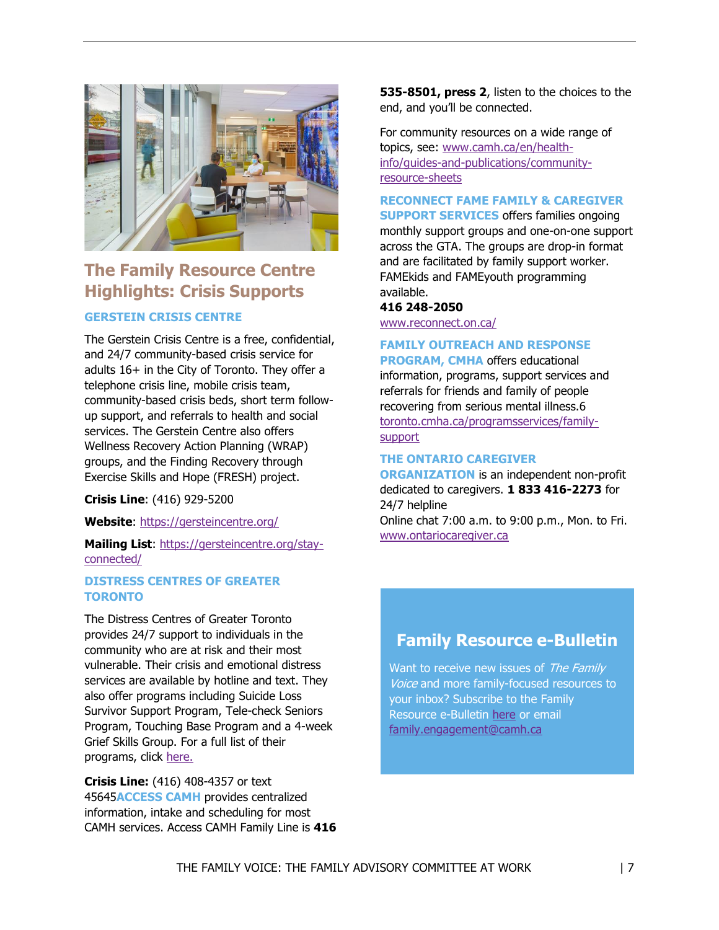

# **The Family Resource Centre Highlights: Crisis Supports**

## **GERSTEIN CRISIS CENTRE**

The Gerstein Crisis Centre is a free, confidential, and 24/7 community-based crisis service for adults 16+ in the City of Toronto. They offer a telephone crisis line, mobile crisis team, community-based crisis beds, short term followup support, and referrals to health and social services. The Gerstein Centre also offers Wellness Recovery Action Planning (WRAP) groups, and the Finding Recovery through Exercise Skills and Hope (FRESH) project.

**Crisis Line**: (416) 929-5200

**Website**:<https://gersteincentre.org/>

**Mailing List**: [https://gersteincentre.org/stay](https://gersteincentre.org/stay-connected/)[connected/](https://gersteincentre.org/stay-connected/)

## **DISTRESS CENTRES OF GREATER TORONTO**

The Distress Centres of Greater Toronto provides 24/7 support to individuals in the community who are at risk and their most vulnerable. Their crisis and emotional distress services are available by hotline and text. They also offer programs including Suicide Loss Survivor Support Program, Tele-check Seniors Program, Touching Base Program and a 4-week Grief Skills Group. For a full list of their programs, click [here.](https://www.dcogt.com/home-support) 

**Crisis Line:** (416) 408-4357 or text 45645**ACCESS CAMH** provides centralized information, intake and scheduling for most CAMH services. Access CAMH Family Line is **416**  **535-8501, press 2**, listen to the choices to the end, and you'll be connected.

For community resources on a wide range of topics, see: [www.camh.ca/en/health](http://www.camh.ca/en/health-info/guides-and-publications/community-resource-sheets)[info/guides-and-publications/community](http://www.camh.ca/en/health-info/guides-and-publications/community-resource-sheets)[resource-sheets](http://www.camh.ca/en/health-info/guides-and-publications/community-resource-sheets)

**RECONNECT FAME FAMILY & CAREGIVER** 

**SUPPORT SERVICES** offers families ongoing monthly support groups and one-on-one support across the GTA. The groups are drop-in format and are facilitated by family support worker. FAMEkids and FAMEyouth programming available.

**416 248-2050** [www.reconnect.on.ca/](http://www.reconnect.on.ca/)

## **FAMILY OUTREACH AND RESPONSE**

**PROGRAM, CMHA** offers educational information, programs, support services and referrals for friends and family of people recovering from serious mental illness.6 [toronto.cmha.ca/programsservices/family](http://toronto.cmha.ca/programsservices/family-support)[support](http://toronto.cmha.ca/programsservices/family-support)

## **THE ONTARIO CAREGIVER**

**ORGANIZATION** is an independent non-profit dedicated to caregivers. **1 833 416-2273** for 24/7 helpline

Online chat 7:00 a.m. to 9:00 p.m., Mon. to Fri. [www.ontariocaregiver.ca](http://www.ontariocaregiver.ca/)

## **Family Resource e-Bulletin**

Want to receive new issues of The Family Voice and more family-focused resources to your inbox? Subscribe to the Family Resource e-Bulletin [here](https://confirmsubscription.com/h/t/C9F01159FEA9F7D4) or email [family.engagement@camh.ca](mailto:family.engagement@camh.ca)